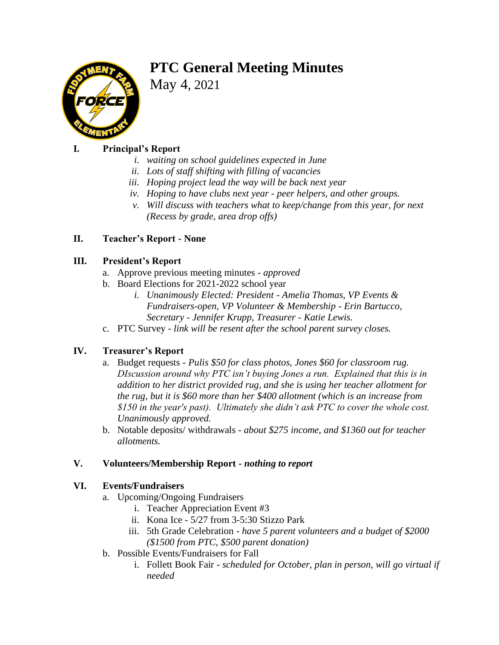# **PTC General Meeting Minutes**



May 4, 2021

# **I. Principal's Report**

- *i. waiting on school guidelines expected in June*
- *ii. Lots of staff shifting with filling of vacancies*
- *iii. Hoping project lead the way will be back next year*
- *iv. Hoping to have clubs next year - peer helpers, and other groups.*
- *v. Will discuss with teachers what to keep/change from this year, for next (Recess by grade, area drop offs)*

# **II. Teacher's Report - None**

#### **III. President's Report**

- a. Approve previous meeting minutes *approved*
- b. Board Elections for 2021-2022 school year
	- *i. Unanimously Elected: President - Amelia Thomas, VP Events & Fundraisers-open, VP Volunteer & Membership - Erin Bartucco, Secretary - Jennifer Krupp, Treasurer - Katie Lewis.*
- c. PTC Survey *link will be resent after the school parent survey closes.*

#### **IV. Treasurer's Report**

- a. Budget requests *- Pulis \$50 for class photos, Jones \$60 for classroom rug. DIscussion around why PTC isn't buying Jones a run. Explained that this is in addition to her district provided rug, and she is using her teacher allotment for the rug, but it is \$60 more than her \$400 allotment (which is an increase from \$150 in the year's past). Ultimately she didn't ask PTC to cover the whole cost. Unanimously approved.*
- b. Notable deposits/ withdrawals *about \$275 income, and \$1360 out for teacher allotments.*

# **V. Volunteers/Membership Report** *- nothing to report*

#### **VI. Events/Fundraisers**

- a. Upcoming/Ongoing Fundraisers
	- i. Teacher Appreciation Event #3
	- ii. Kona Ice 5/27 from 3-5:30 Stizzo Park
	- iii. 5th Grade Celebration *have 5 parent volunteers and a budget of \$2000 (\$1500 from PTC, \$500 parent donation)*
- b. Possible Events/Fundraisers for Fall
	- i. Follett Book Fair *scheduled for October, plan in person, will go virtual if needed*